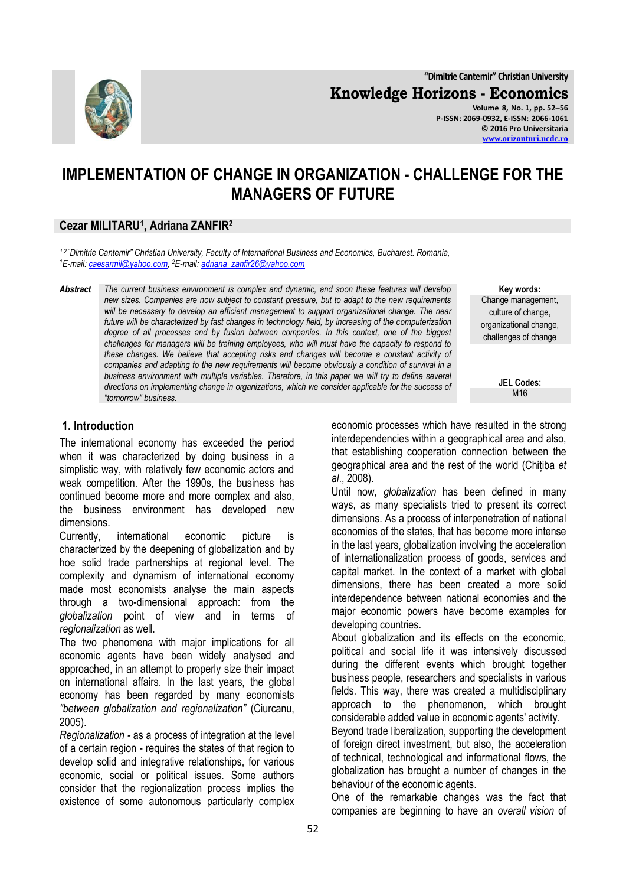**"Dimitrie Cantemir" Christian University**

**Knowledge Horizons - Economics**

**Volume 8, No. 1, pp. 52–56 P-ISSN: 2069-0932, E-ISSN: 2066-1061 © 2016 Pro Universitaria [www.orizonturi.ucdc.ro](http://www.orizonturi.ucdc.ro/)**

# **IMPLEMENTATION OF CHANGE IN ORGANIZATION - CHALLENGE FOR THE MANAGERS OF FUTURE**

#### **Cezar MILITARU<sup>1</sup> , Adriana ZANFIR<sup>2</sup>**

*1,2 "Dimitrie Cantemir" Christian University, Faculty of International Business and Economics, Bucharest. Romania, <sup>1</sup>E-mail[: caesarmil@yahoo.com,](mailto:caesarmil@yahoo.com)  <sup>2</sup>E-mail[: adriana\\_zanfir26@yahoo.com](mailto:adriana_zanfir26@yahoo.com)*

*Abstract The current business environment is complex and dynamic, and soon these features will develop new sizes. Companies are now subject to constant pressure, but to adapt to the new requirements will be necessary to develop an efficient management to support organizational change. The near future will be characterized by fast changes in technology field, by increasing of the computerization degree of all processes and by fusion between companies. In this context, one of the biggest challenges for managers will be training employees, who will must have the capacity to respond to these changes. We believe that accepting risks and changes will become a constant activity of companies and adapting to the new requirements will become obviously a condition of survival in a business environment with multiple variables. Therefore, in this paper we will try to define several directions on implementing change in organizations, which we consider applicable for the success of "tomorrow" business.*

**1. Introduction**

The international economy has exceeded the period when it was characterized by doing business in a simplistic way, with relatively few economic actors and weak competition. After the 1990s, the business has continued become more and more complex and also, the business environment has developed new dimensions.

Currently, international economic picture is characterized by the deepening of globalization and by hoe solid trade partnerships at regional level. The complexity and dynamism of international economy made most economists analyse the main aspects through a two-dimensional approach: from the *globalization* point of view and in terms of *regionalization* as well.

The two phenomena with major implications for all economic agents have been widely analysed and approached, in an attempt to properly size their impact on international affairs. In the last years, the global economy has been regarded by many economists *"between globalization and regionalization"* (Ciurcanu, 2005).

*Regionalization -* as a process of integration at the level of a certain region - requires the states of that region to develop solid and integrative relationships, for various economic, social or political issues. Some authors consider that the regionalization process implies the existence of some autonomous particularly complex

**Key words:** Change management, culture of change, organizational change, challenges of change

> **JEL Codes: M16**

economic processes which have resulted in the strong interdependencies within a geographical area and also, that establishing cooperation connection between the geographical area and the rest of the world (Chițiba *et al*., 2008).

Until now, *globalization* has been defined in many ways, as many specialists tried to present its correct dimensions. As a process of interpenetration of national economies of the states, that has become more intense in the last years, globalization involving the acceleration of internationalization process of goods, services and capital market. In the context of a market with global dimensions, there has been created a more solid interdependence between national economies and the major economic powers have become examples for developing countries.

About globalization and its effects on the economic, political and social life it was intensively discussed during the different events which brought together business people, researchers and specialists in various fields. This way, there was created a multidisciplinary approach to the phenomenon, which brought considerable added value in economic agents' activity.

Beyond trade liberalization, supporting the development of foreign direct investment, but also, the acceleration of technical, technological and informational flows, the globalization has brought a number of changes in the behaviour of the economic agents.

One of the remarkable changes was the fact that companies are beginning to have an *overall vision* of

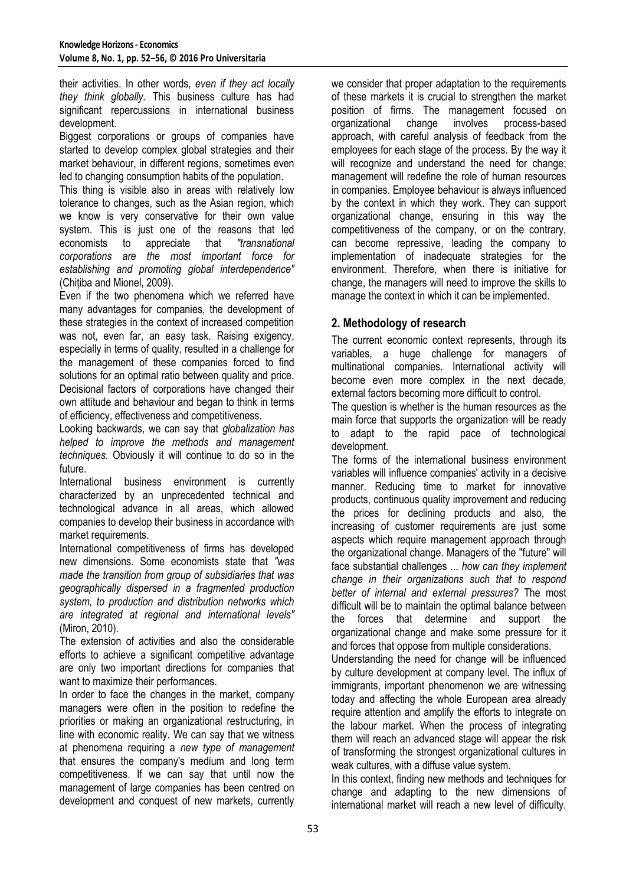their activities. In other words, *even if they act locally they think globally.* This business culture has had significant repercussions in international business development.

Biggest corporations or groups of companies have started to develop complex global strategies and their market behaviour, in different regions, sometimes even led to changing consumption habits of the population.

This thing is visible also in areas with relatively low tolerance to changes, such as the Asian region, which we know is very conservative for their own value system. This is just one of the reasons that led economists to appreciate that *"transnational corporations are the most important force for establishing and promoting global interdependence"* (Chițiba and Mionel, 2009).

Even if the two phenomena which we referred have many advantages for companies, the development of these strategies in the context of increased competition was not, even far, an easy task. Raising exigency, especially in terms of quality, resulted in a challenge for the management of these companies forced to find solutions for an optimal ratio between quality and price. Decisional factors of corporations have changed their own attitude and behaviour and began to think in terms of efficiency, effectiveness and competitiveness.

Looking backwards, we can say that *globalization has helped to improve the methods and management techniques.* Obviously it will continue to do so in the future.

International business environment is currently characterized by an unprecedented technical and technological advance in all areas, which allowed companies to develop their business in accordance with market requirements.

International competitiveness of firms has developed new dimensions. Some economists state that *"was made the transition from group of subsidiaries that was geographically dispersed in a fragmented production system, to production and distribution networks which are integrated at regional and international levels"* (Miron, 2010).

The extension of activities and also the considerable efforts to achieve a significant competitive advantage are only two important directions for companies that want to maximize their performances.

In order to face the changes in the market, company managers were often in the position to redefine the priorities or making an organizational restructuring, in line with economic reality. We can say that we witness at phenomena requiring a *new type of management*  that ensures the company's medium and long term competitiveness. If we can say that until now the management of large companies has been centred on development and conquest of new markets, currently

we consider that proper adaptation to the requirements of these markets it is crucial to strengthen the market position of firms. The management focused on organizational change involves process-based approach, with careful analysis of feedback from the employees for each stage of the process. By the way it will recognize and understand the need for change; management will redefine the role of human resources in companies. Employee behaviour is always influenced by the context in which they work. They can support organizational change, ensuring in this way the competitiveness of the company, or on the contrary, can become repressive, leading the company to implementation of inadequate strategies for the environment. Therefore, when there is initiative for change, the managers will need to improve the skills to manage the context in which it can be implemented.

# **2. Methodology of research**

The current economic context represents, through its variables, a huge challenge for managers of multinational companies. International activity will become even more complex in the next decade, external factors becoming more difficult to control.

The question is whether is the human resources as the main force that supports the organization will be ready to adapt to the rapid pace of technological development.

The forms of the international business environment variables will influence companies' activity in a decisive manner. Reducing time to market for innovative products, continuous quality improvement and reducing the prices for declining products and also, the increasing of customer requirements are just some aspects which require management approach through the organizational change. Managers of the "future" will face substantial challenges ... *how can they implement change in their organizations such that to respond better of internal and external pressures?* The most difficult will be to maintain the optimal balance between the forces that determine and support the organizational change and make some pressure for it and forces that oppose from multiple considerations.

Understanding the need for change will be influenced by culture development at company level. The influx of immigrants, important phenomenon we are witnessing today and affecting the whole European area already require attention and amplify the efforts to integrate on the labour market. When the process of integrating them will reach an advanced stage will appear the risk of transforming the strongest organizational cultures in weak cultures, with a diffuse value system.

In this context, finding new methods and techniques for change and adapting to the new dimensions of international market will reach a new level of difficulty.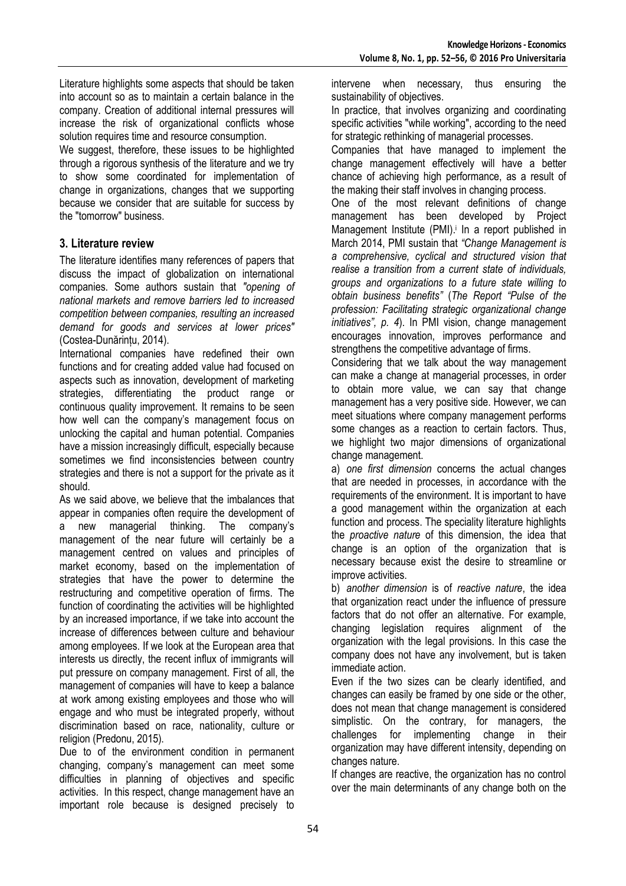Literature highlights some aspects that should be taken into account so as to maintain a certain balance in the company. Creation of additional internal pressures will increase the risk of organizational conflicts whose solution requires time and resource consumption.

We suggest, therefore, these issues to be highlighted through a rigorous synthesis of the literature and we try to show some coordinated for implementation of change in organizations, changes that we supporting because we consider that are suitable for success by the "tomorrow" business.

## **3. Literature review**

The literature identifies many references of papers that discuss the impact of globalization on international companies. Some authors sustain that *"opening of national markets and remove barriers led to increased competition between companies, resulting an increased demand for goods and services at lower prices"* (Costea-Dunărințu, 2014).

International companies have redefined their own functions and for creating added value had focused on aspects such as innovation, development of marketing strategies, differentiating the product range or continuous quality improvement. It remains to be seen how well can the company's management focus on unlocking the capital and human potential. Companies have a mission increasingly difficult, especially because sometimes we find inconsistencies between country strategies and there is not a support for the private as it should.

As we said above, we believe that the imbalances that appear in companies often require the development of a new managerial thinking. The company's management of the near future will certainly be a management centred on values and principles of market economy, based on the implementation of strategies that have the power to determine the restructuring and competitive operation of firms. The function of coordinating the activities will be highlighted by an increased importance, if we take into account the increase of differences between culture and behaviour among employees. If we look at the European area that interests us directly, the recent influx of immigrants will put pressure on company management. First of all, the management of companies will have to keep a balance at work among existing employees and those who will engage and who must be integrated properly, without discrimination based on race, nationality, culture or religion (Predonu, 2015).

Due to of the environment condition in permanent changing, company's management can meet some difficulties in planning of objectives and specific activities. In this respect, change management have an important role because is designed precisely to intervene when necessary, thus ensuring the sustainability of objectives.

In practice, that involves organizing and coordinating specific activities "while working", according to the need for strategic rethinking of managerial processes.

Companies that have managed to implement the change management effectively will have a better chance of achieving high performance, as a result of the making their staff involves in changing process.

One of the most relevant definitions of change management has been developed by Project Management Institute (PMI).<sup>i</sup> In a report published in March 2014, PMI sustain that *"Change Management is a comprehensive, cyclical and structured vision that realise a transition from a current state of individuals, groups and organizations to a future state willing to obtain business benefits"* (*The Report "Pulse of the profession: Facilitating strategic organizational change initiatives", p. 4*). In PMI vision, change management encourages innovation, improves performance and strengthens the competitive advantage of firms.

Considering that we talk about the way management can make a change at managerial processes, in order to obtain more value, we can say that change management has a very positive side. However, we can meet situations where company management performs some changes as a reaction to certain factors. Thus, we highlight two major dimensions of organizational change management.

a) *one first dimension* concerns the actual changes that are needed in processes, in accordance with the requirements of the environment. It is important to have a good management within the organization at each function and process. The speciality literature highlights the *proactive nature* of this dimension, the idea that change is an option of the organization that is necessary because exist the desire to streamline or improve activities.

b) *another dimension* is of *reactive nature*, the idea that organization react under the influence of pressure factors that do not offer an alternative. For example, changing legislation requires alignment of the organization with the legal provisions. In this case the company does not have any involvement, but is taken immediate action.

Even if the two sizes can be clearly identified, and changes can easily be framed by one side or the other, does not mean that change management is considered simplistic. On the contrary, for managers, the challenges for implementing change in their organization may have different intensity, depending on changes nature.

If changes are reactive, the organization has no control over the main determinants of any change both on the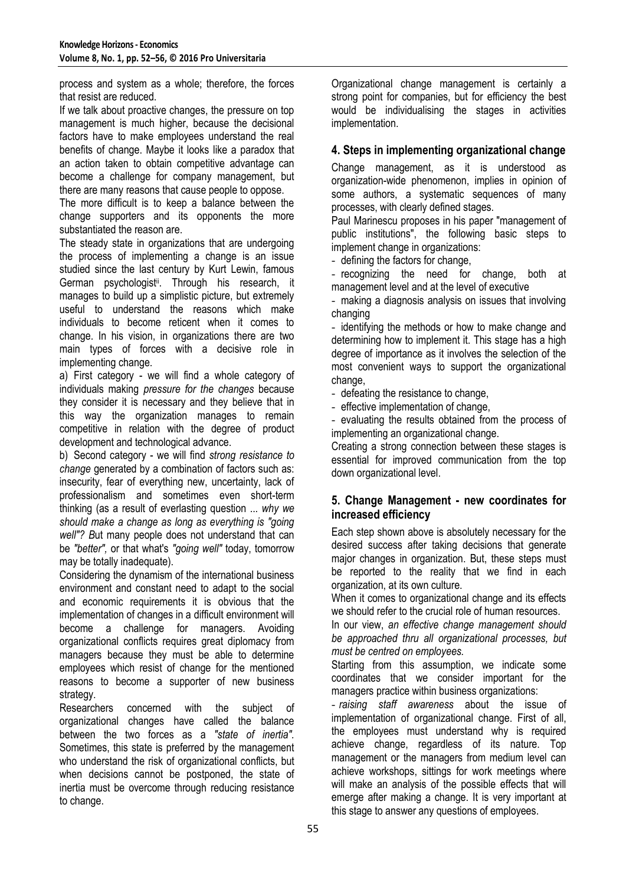process and system as a whole; therefore, the forces that resist are reduced.

If we talk about proactive changes, the pressure on top management is much higher, because the decisional factors have to make employees understand the real benefits of change. Maybe it looks like a paradox that an action taken to obtain competitive advantage can become a challenge for company management, but there are many reasons that cause people to oppose.

The more difficult is to keep a balance between the change supporters and its opponents the more substantiated the reason are.

The steady state in organizations that are undergoing the process of implementing a change is an issue studied since the last century by Kurt Lewin, famous German psychologist<sup>ii</sup>. Through his research, it manages to build up a simplistic picture, but extremely useful to understand the reasons which make individuals to become reticent when it comes to change. In his vision, in organizations there are two main types of forces with a decisive role in implementing change.

a) First category - we will find a whole category of individuals making *pressure for the changes* because they consider it is necessary and they believe that in this way the organization manages to remain competitive in relation with the degree of product development and technological advance.

b) Second category - we will find *strong resistance to change* generated by a combination of factors such as: insecurity, fear of everything new, uncertainty, lack of professionalism and sometimes even short-term thinking (as a result of everlasting question ... *why we should make a change as long as everything is "going well"? B*ut many people does not understand that can be *"better",* or that what's *"going well"* today, tomorrow may be totally inadequate).

Considering the dynamism of the international business environment and constant need to adapt to the social and economic requirements it is obvious that the implementation of changes in a difficult environment will become a challenge for managers. Avoiding organizational conflicts requires great diplomacy from managers because they must be able to determine employees which resist of change for the mentioned reasons to become a supporter of new business strategy.

Researchers concerned with the subject of organizational changes have called the balance between the two forces as a *"state of inertia".* Sometimes, this state is preferred by the management who understand the risk of organizational conflicts, but when decisions cannot be postponed, the state of inertia must be overcome through reducing resistance to change.

Organizational change management is certainly a strong point for companies, but for efficiency the best would be individualising the stages in activities implementation.

## **4. Steps in implementing organizational change**

Change management, as it is understood as organization-wide phenomenon, implies in opinion of some authors, a systematic sequences of many processes, with clearly defined stages.

Paul Marinescu proposes in his paper "management of public institutions", the following basic steps to implement change in organizations:

- defining the factors for change,

- recognizing the need for change, both at management level and at the level of executive

- making a diagnosis analysis on issues that involving changing

- identifying the methods or how to make change and determining how to implement it. This stage has a high degree of importance as it involves the selection of the most convenient ways to support the organizational change.

- defeating the resistance to change,

- effective implementation of change,

- evaluating the results obtained from the process of implementing an organizational change.

Creating a strong connection between these stages is essential for improved communication from the top down organizational level.

## **5. Change Management - new coordinates for increased efficiency**

Each step shown above is absolutely necessary for the desired success after taking decisions that generate major changes in organization. But, these steps must be reported to the reality that we find in each organization, at its own culture.

When it comes to organizational change and its effects we should refer to the crucial role of human resources.

In our view, *an effective change management should be approached thru all organizational processes, but must be centred on employees.*

Starting from this assumption, we indicate some coordinates that we consider important for the managers practice within business organizations:

- *raising staff awareness* about the issue of implementation of organizational change. First of all, the employees must understand why is required achieve change, regardless of its nature. Top management or the managers from medium level can achieve workshops, sittings for work meetings where will make an analysis of the possible effects that will emerge after making a change. It is very important at this stage to answer any questions of employees.